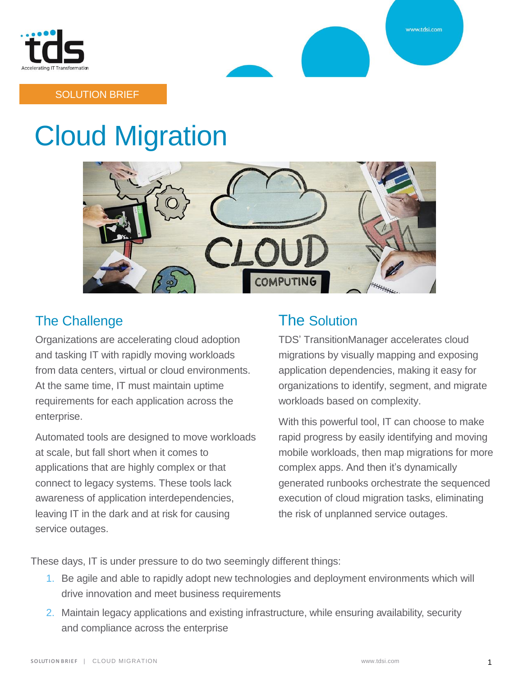



### SOLUTION BRIEF

# Cloud Migration



### The Challenge

Organizations are accelerating cloud adoption and tasking IT with rapidly moving workloads from data centers, virtual or cloud environments. At the same time, IT must maintain uptime requirements for each application across the enterprise.

Automated tools are designed to move workloads at scale, but fall short when it comes to applications that are highly complex or that connect to legacy systems. These tools lack awareness of application interdependencies, leaving IT in the dark and at risk for causing service outages.

# The Solution

TDS' TransitionManager accelerates cloud migrations by visually mapping and exposing application dependencies, making it easy for organizations to identify, segment, and migrate workloads based on complexity.

With this powerful tool, IT can choose to make rapid progress by easily identifying and moving mobile workloads, then map migrations for more complex apps. And then it's dynamically generated runbooks orchestrate the sequenced execution of cloud migration tasks, eliminating the risk of unplanned service outages.

These days, IT is under pressure to do two seemingly different things:

- 1. Be agile and able to rapidly adopt new technologies and deployment environments which will drive innovation and meet business requirements
- 2. Maintain legacy applications and existing infrastructure, while ensuring availability, security and compliance across the enterprise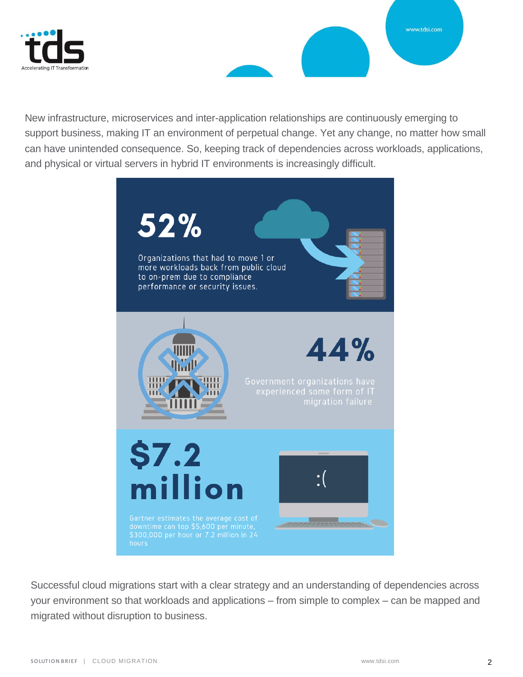



New infrastructure, microservices and inter-application relationships are continuously emerging to support business, making IT an environment of perpetual change. Yet any change, no matter how small can have unintended consequence. So, keeping track of dependencies across workloads, applications, and physical or virtual servers in hybrid IT environments is increasingly difficult.



Successful cloud migrations start with a clear strategy and an understanding of dependencies across your environment so that workloads and applications – from simple to complex – can be mapped and migrated without disruption to business.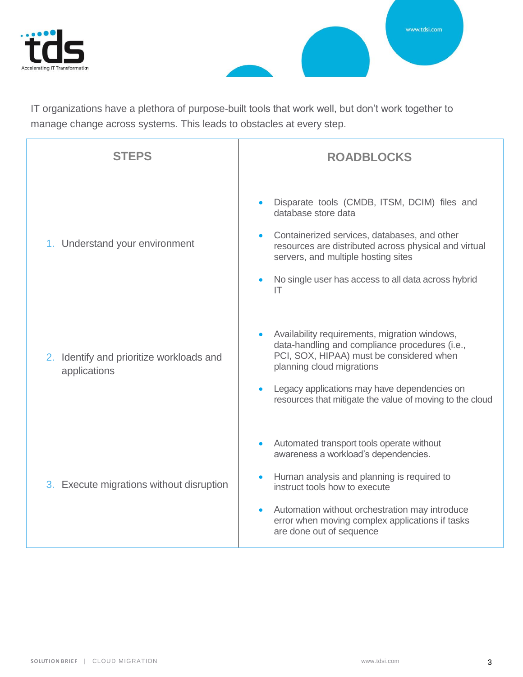



IT organizations have a plethora of purpose-built tools that work well, but don't work together to manage change across systems. This leads to obstacles at every step.

| <b>STEPS</b>                                             | <b>ROADBLOCKS</b>                                                                                                                                                                                                                                                                                 |
|----------------------------------------------------------|---------------------------------------------------------------------------------------------------------------------------------------------------------------------------------------------------------------------------------------------------------------------------------------------------|
| 1. Understand your environment                           | Disparate tools (CMDB, ITSM, DCIM) files and<br>database store data<br>Containerized services, databases, and other<br>resources are distributed across physical and virtual<br>servers, and multiple hosting sites<br>No single user has access to all data across hybrid<br>IT                  |
| 2. Identify and prioritize workloads and<br>applications | Availability requirements, migration windows,<br>data-handling and compliance procedures (i.e.,<br>PCI, SOX, HIPAA) must be considered when<br>planning cloud migrations<br>Legacy applications may have dependencies on<br>resources that mitigate the value of moving to the cloud              |
| 3. Execute migrations without disruption                 | Automated transport tools operate without<br>awareness a workload's dependencies.<br>Human analysis and planning is required to<br>instruct tools how to execute<br>Automation without orchestration may introduce<br>error when moving complex applications if tasks<br>are done out of sequence |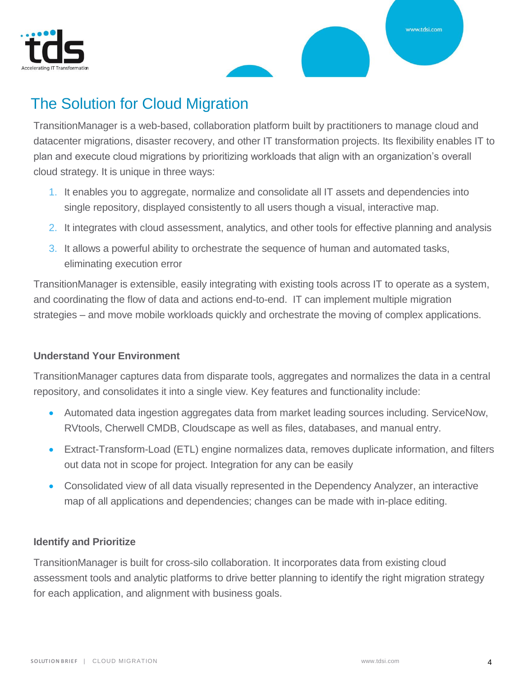



# The Solution for Cloud Migration

TransitionManager is a web-based, collaboration platform built by practitioners to manage cloud and datacenter migrations, disaster recovery, and other IT transformation projects. Its flexibility enables IT to plan and execute cloud migrations by prioritizing workloads that align with an organization's overall cloud strategy. It is unique in three ways:

- 1. It enables you to aggregate, normalize and consolidate all IT assets and dependencies into single repository, displayed consistently to all users though a visual, interactive map.
- 2. It integrates with cloud assessment, analytics, and other tools for effective planning and analysis
- 3. It allows a powerful ability to orchestrate the sequence of human and automated tasks, eliminating execution error

TransitionManager is extensible, easily integrating with existing tools across IT to operate as a system, and coordinating the flow of data and actions end-to-end. IT can implement multiple migration strategies – and move mobile workloads quickly and orchestrate the moving of complex applications.

### **Understand Your Environment**

TransitionManager captures data from disparate tools, aggregates and normalizes the data in a central repository, and consolidates it into a single view. Key features and functionality include:

- Automated data ingestion aggregates data from market leading sources including. ServiceNow, RVtools, Cherwell CMDB, Cloudscape as well as files, databases, and manual entry.
- Extract-Transform-Load (ETL) engine normalizes data, removes duplicate information, and filters out data not in scope for project. Integration for any can be easily
- Consolidated view of all data visually represented in the Dependency Analyzer, an interactive map of all applications and dependencies; changes can be made with in-place editing.

### **Identify and Prioritize**

TransitionManager is built for cross-silo collaboration. It incorporates data from existing cloud assessment tools and analytic platforms to drive better planning to identify the right migration strategy for each application, and alignment with business goals.